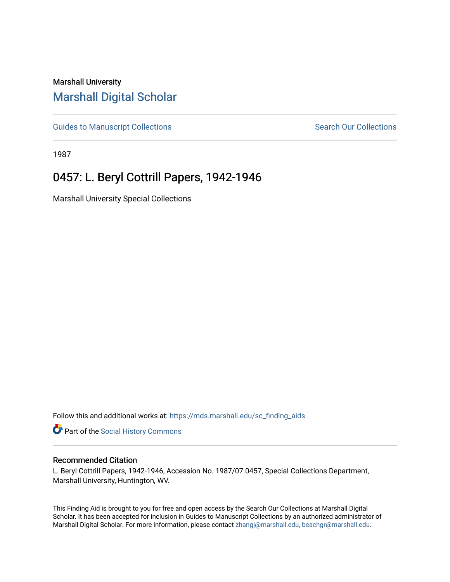## Marshall University [Marshall Digital Scholar](https://mds.marshall.edu/)

[Guides to Manuscript Collections](https://mds.marshall.edu/sc_finding_aids) **Search Our Collections** Search Our Collections

1987

## 0457: L. Beryl Cottrill Papers, 1942-1946

Marshall University Special Collections

Follow this and additional works at: [https://mds.marshall.edu/sc\\_finding\\_aids](https://mds.marshall.edu/sc_finding_aids?utm_source=mds.marshall.edu%2Fsc_finding_aids%2F257&utm_medium=PDF&utm_campaign=PDFCoverPages) 

Part of the [Social History Commons](http://network.bepress.com/hgg/discipline/506?utm_source=mds.marshall.edu%2Fsc_finding_aids%2F257&utm_medium=PDF&utm_campaign=PDFCoverPages)

## Recommended Citation

L. Beryl Cottrill Papers, 1942-1946, Accession No. 1987/07.0457, Special Collections Department, Marshall University, Huntington, WV.

This Finding Aid is brought to you for free and open access by the Search Our Collections at Marshall Digital Scholar. It has been accepted for inclusion in Guides to Manuscript Collections by an authorized administrator of Marshall Digital Scholar. For more information, please contact [zhangj@marshall.edu, beachgr@marshall.edu](mailto:zhangj@marshall.edu,%20beachgr@marshall.edu).